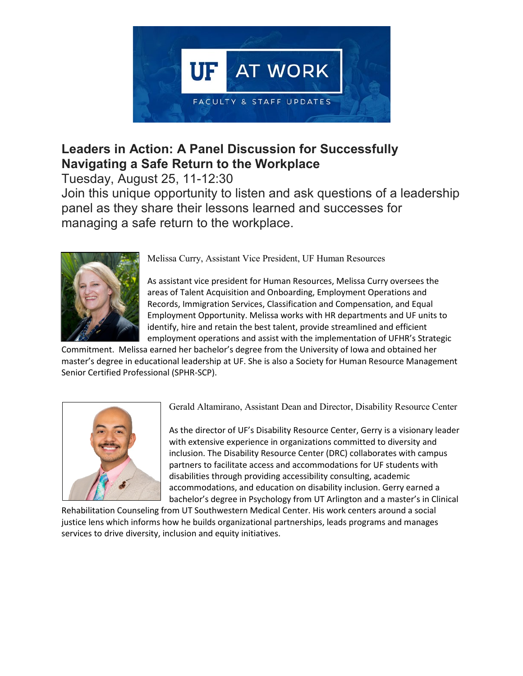

## **Leaders in Action: A Panel Discussion for Successfully Navigating a Safe Return to the Workplace**

Tuesday, August 25, 11-12:30

Join this unique opportunity to listen and ask questions of a leadership panel as they share their lessons learned and successes for managing a safe return to the workplace.



Melissa Curry, Assistant Vice President, UF Human Resources

As assistant vice president for Human Resources, Melissa Curry oversees the areas of Talent Acquisition and Onboarding, Employment Operations and Records, Immigration Services, Classification and Compensation, and Equal Employment Opportunity. Melissa works with HR departments and UF units to identify, hire and retain the best talent, provide streamlined and efficient employment operations and assist with the implementation of UFHR's Strategic

Commitment. Melissa earned her bachelor's degree from the University of Iowa and obtained her master's degree in educational leadership at UF. She is also a Society for Human Resource Management Senior Certified Professional (SPHR-SCP).



Gerald Altamirano, Assistant Dean and Director, Disability Resource Center

As the director of UF's Disability Resource Center, Gerry is a visionary leader with extensive experience in organizations committed to diversity and inclusion. The Disability Resource Center (DRC) collaborates with campus partners to facilitate access and accommodations for UF students with disabilities through providing accessibility consulting, academic accommodations, and education on disability inclusion. Gerry earned a bachelor's degree in Psychology from UT Arlington and a master's in Clinical

Rehabilitation Counseling from UT Southwestern Medical Center. His work centers around a social justice lens which informs how he builds organizational partnerships, leads programs and manages services to drive diversity, inclusion and equity initiatives.